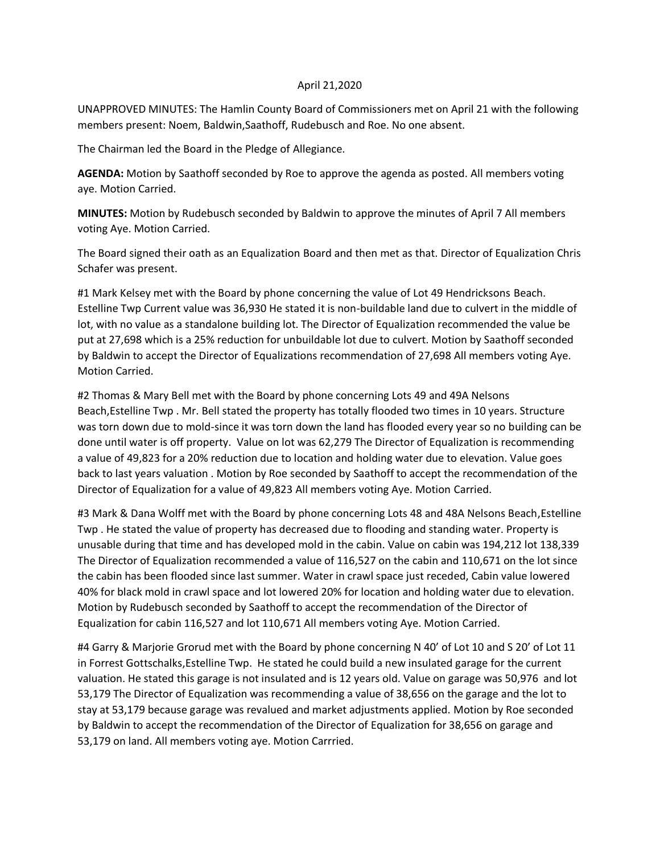### April 21,2020

UNAPPROVED MINUTES: The Hamlin County Board of Commissioners met on April 21 with the following members present: Noem, Baldwin,Saathoff, Rudebusch and Roe. No one absent.

The Chairman led the Board in the Pledge of Allegiance.

**AGENDA:** Motion by Saathoff seconded by Roe to approve the agenda as posted. All members voting aye. Motion Carried.

**MINUTES:** Motion by Rudebusch seconded by Baldwin to approve the minutes of April 7 All members voting Aye. Motion Carried.

The Board signed their oath as an Equalization Board and then met as that. Director of Equalization Chris Schafer was present.

#1 Mark Kelsey met with the Board by phone concerning the value of Lot 49 Hendricksons Beach. Estelline Twp Current value was 36,930 He stated it is non-buildable land due to culvert in the middle of lot, with no value as a standalone building lot. The Director of Equalization recommended the value be put at 27,698 which is a 25% reduction for unbuildable lot due to culvert. Motion by Saathoff seconded by Baldwin to accept the Director of Equalizations recommendation of 27,698 All members voting Aye. Motion Carried.

#2 Thomas & Mary Bell met with the Board by phone concerning Lots 49 and 49A Nelsons Beach,Estelline Twp . Mr. Bell stated the property has totally flooded two times in 10 years. Structure was torn down due to mold-since it was torn down the land has flooded every year so no building can be done until water is off property. Value on lot was 62,279 The Director of Equalization is recommending a value of 49,823 for a 20% reduction due to location and holding water due to elevation. Value goes back to last years valuation . Motion by Roe seconded by Saathoff to accept the recommendation of the Director of Equalization for a value of 49,823 All members voting Aye. Motion Carried.

#3 Mark & Dana Wolff met with the Board by phone concerning Lots 48 and 48A Nelsons Beach, Estelline Twp . He stated the value of property has decreased due to flooding and standing water. Property is unusable during that time and has developed mold in the cabin. Value on cabin was 194,212 lot 138,339 The Director of Equalization recommended a value of 116,527 on the cabin and 110,671 on the lot since the cabin has been flooded since last summer. Water in crawl space just receded, Cabin value lowered 40% for black mold in crawl space and lot lowered 20% for location and holding water due to elevation. Motion by Rudebusch seconded by Saathoff to accept the recommendation of the Director of Equalization for cabin 116,527 and lot 110,671 All members voting Aye. Motion Carried.

#4 Garry & Marjorie Grorud met with the Board by phone concerning N 40' of Lot 10 and S 20' of Lot 11 in Forrest Gottschalks,Estelline Twp. He stated he could build a new insulated garage for the current valuation. He stated this garage is not insulated and is 12 years old. Value on garage was 50,976 and lot 53,179 The Director of Equalization was recommending a value of 38,656 on the garage and the lot to stay at 53,179 because garage was revalued and market adjustments applied. Motion by Roe seconded by Baldwin to accept the recommendation of the Director of Equalization for 38,656 on garage and 53,179 on land. All members voting aye. Motion Carrried.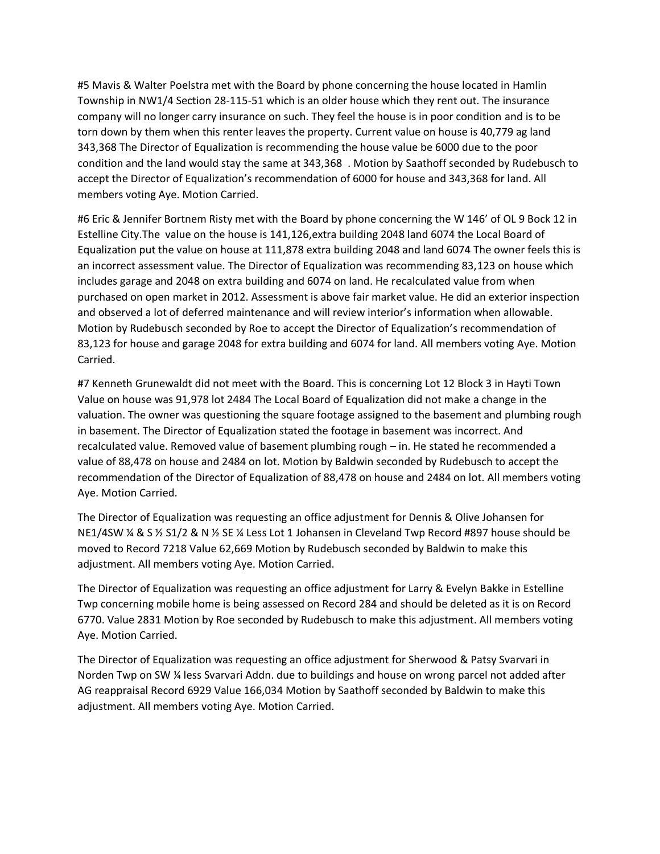#5 Mavis & Walter Poelstra met with the Board by phone concerning the house located in Hamlin Township in NW1/4 Section 28-115-51 which is an older house which they rent out. The insurance company will no longer carry insurance on such. They feel the house is in poor condition and is to be torn down by them when this renter leaves the property. Current value on house is 40,779 ag land 343,368 The Director of Equalization is recommending the house value be 6000 due to the poor condition and the land would stay the same at 343,368 . Motion by Saathoff seconded by Rudebusch to accept the Director of Equalization's recommendation of 6000 for house and 343,368 for land. All members voting Aye. Motion Carried.

#6 Eric & Jennifer Bortnem Risty met with the Board by phone concerning the W 146' of OL 9 Bock 12 in Estelline City.The value on the house is 141,126,extra building 2048 land 6074 the Local Board of Equalization put the value on house at 111,878 extra building 2048 and land 6074 The owner feels this is an incorrect assessment value. The Director of Equalization was recommending 83,123 on house which includes garage and 2048 on extra building and 6074 on land. He recalculated value from when purchased on open market in 2012. Assessment is above fair market value. He did an exterior inspection and observed a lot of deferred maintenance and will review interior's information when allowable. Motion by Rudebusch seconded by Roe to accept the Director of Equalization's recommendation of 83,123 for house and garage 2048 for extra building and 6074 for land. All members voting Aye. Motion Carried.

#7 Kenneth Grunewaldt did not meet with the Board. This is concerning Lot 12 Block 3 in Hayti Town Value on house was 91,978 lot 2484 The Local Board of Equalization did not make a change in the valuation. The owner was questioning the square footage assigned to the basement and plumbing rough in basement. The Director of Equalization stated the footage in basement was incorrect. And recalculated value. Removed value of basement plumbing rough – in. He stated he recommended a value of 88,478 on house and 2484 on lot. Motion by Baldwin seconded by Rudebusch to accept the recommendation of the Director of Equalization of 88,478 on house and 2484 on lot. All members voting Aye. Motion Carried.

The Director of Equalization was requesting an office adjustment for Dennis & Olive Johansen for NE1/4SW ¼ & S ½ S1/2 & N ½ SE ¼ Less Lot 1 Johansen in Cleveland Twp Record #897 house should be moved to Record 7218 Value 62,669 Motion by Rudebusch seconded by Baldwin to make this adjustment. All members voting Aye. Motion Carried.

The Director of Equalization was requesting an office adjustment for Larry & Evelyn Bakke in Estelline Twp concerning mobile home is being assessed on Record 284 and should be deleted as it is on Record 6770. Value 2831 Motion by Roe seconded by Rudebusch to make this adjustment. All members voting Aye. Motion Carried.

The Director of Equalization was requesting an office adjustment for Sherwood & Patsy Svarvari in Norden Twp on SW ¼ less Svarvari Addn. due to buildings and house on wrong parcel not added after AG reappraisal Record 6929 Value 166,034 Motion by Saathoff seconded by Baldwin to make this adjustment. All members voting Aye. Motion Carried.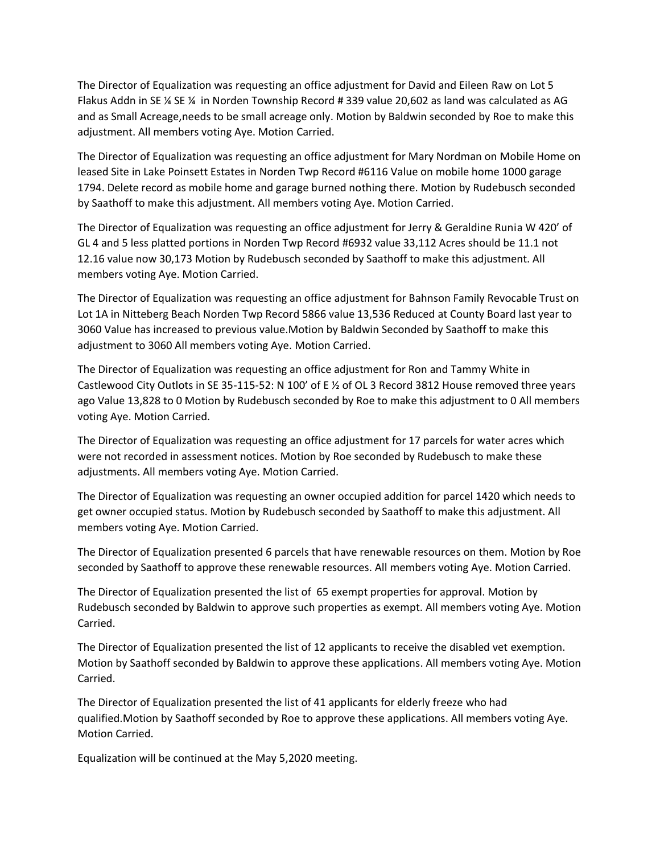The Director of Equalization was requesting an office adjustment for David and Eileen Raw on Lot 5 Flakus Addn in SE ¼ SE ¼ in Norden Township Record # 339 value 20,602 as land was calculated as AG and as Small Acreage,needs to be small acreage only. Motion by Baldwin seconded by Roe to make this adjustment. All members voting Aye. Motion Carried.

The Director of Equalization was requesting an office adjustment for Mary Nordman on Mobile Home on leased Site in Lake Poinsett Estates in Norden Twp Record #6116 Value on mobile home 1000 garage 1794. Delete record as mobile home and garage burned nothing there. Motion by Rudebusch seconded by Saathoff to make this adjustment. All members voting Aye. Motion Carried.

The Director of Equalization was requesting an office adjustment for Jerry & Geraldine Runia W 420' of GL 4 and 5 less platted portions in Norden Twp Record #6932 value 33,112 Acres should be 11.1 not 12.16 value now 30,173 Motion by Rudebusch seconded by Saathoff to make this adjustment. All members voting Aye. Motion Carried.

The Director of Equalization was requesting an office adjustment for Bahnson Family Revocable Trust on Lot 1A in Nitteberg Beach Norden Twp Record 5866 value 13,536 Reduced at County Board last year to 3060 Value has increased to previous value.Motion by Baldwin Seconded by Saathoff to make this adjustment to 3060 All members voting Aye. Motion Carried.

The Director of Equalization was requesting an office adjustment for Ron and Tammy White in Castlewood City Outlots in SE 35-115-52: N 100' of E ½ of OL 3 Record 3812 House removed three years ago Value 13,828 to 0 Motion by Rudebusch seconded by Roe to make this adjustment to 0 All members voting Aye. Motion Carried.

The Director of Equalization was requesting an office adjustment for 17 parcels for water acres which were not recorded in assessment notices. Motion by Roe seconded by Rudebusch to make these adjustments. All members voting Aye. Motion Carried.

The Director of Equalization was requesting an owner occupied addition for parcel 1420 which needs to get owner occupied status. Motion by Rudebusch seconded by Saathoff to make this adjustment. All members voting Aye. Motion Carried.

The Director of Equalization presented 6 parcels that have renewable resources on them. Motion by Roe seconded by Saathoff to approve these renewable resources. All members voting Aye. Motion Carried.

The Director of Equalization presented the list of 65 exempt properties for approval. Motion by Rudebusch seconded by Baldwin to approve such properties as exempt. All members voting Aye. Motion Carried.

The Director of Equalization presented the list of 12 applicants to receive the disabled vet exemption. Motion by Saathoff seconded by Baldwin to approve these applications. All members voting Aye. Motion Carried.

The Director of Equalization presented the list of 41 applicants for elderly freeze who had qualified.Motion by Saathoff seconded by Roe to approve these applications. All members voting Aye. Motion Carried.

Equalization will be continued at the May 5,2020 meeting.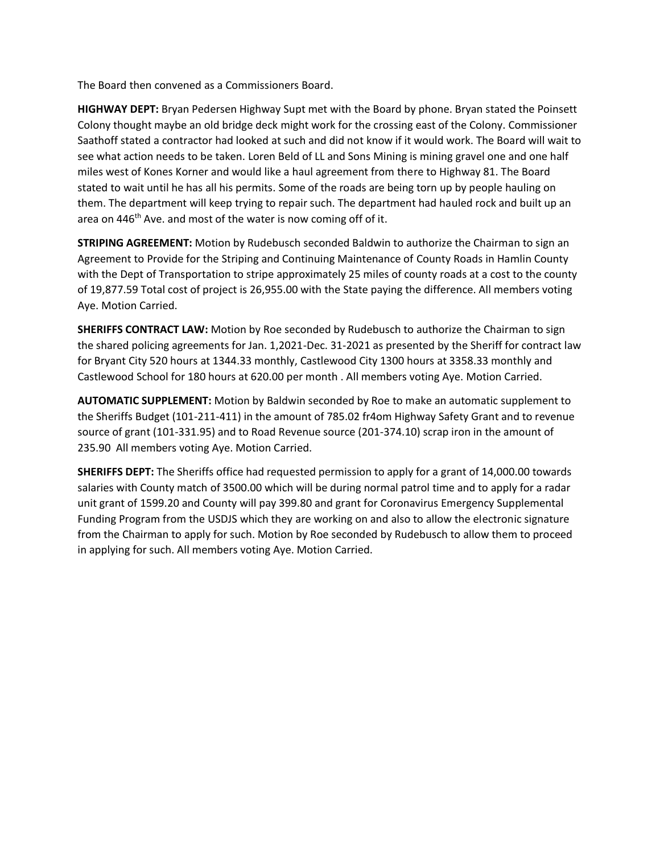The Board then convened as a Commissioners Board.

**HIGHWAY DEPT:** Bryan Pedersen Highway Supt met with the Board by phone. Bryan stated the Poinsett Colony thought maybe an old bridge deck might work for the crossing east of the Colony. Commissioner Saathoff stated a contractor had looked at such and did not know if it would work. The Board will wait to see what action needs to be taken. Loren Beld of LL and Sons Mining is mining gravel one and one half miles west of Kones Korner and would like a haul agreement from there to Highway 81. The Board stated to wait until he has all his permits. Some of the roads are being torn up by people hauling on them. The department will keep trying to repair such. The department had hauled rock and built up an area on 446<sup>th</sup> Ave. and most of the water is now coming off of it.

**STRIPING AGREEMENT:** Motion by Rudebusch seconded Baldwin to authorize the Chairman to sign an Agreement to Provide for the Striping and Continuing Maintenance of County Roads in Hamlin County with the Dept of Transportation to stripe approximately 25 miles of county roads at a cost to the county of 19,877.59 Total cost of project is 26,955.00 with the State paying the difference. All members voting Aye. Motion Carried.

**SHERIFFS CONTRACT LAW:** Motion by Roe seconded by Rudebusch to authorize the Chairman to sign the shared policing agreements for Jan. 1,2021-Dec. 31-2021 as presented by the Sheriff for contract law for Bryant City 520 hours at 1344.33 monthly, Castlewood City 1300 hours at 3358.33 monthly and Castlewood School for 180 hours at 620.00 per month . All members voting Aye. Motion Carried.

**AUTOMATIC SUPPLEMENT:** Motion by Baldwin seconded by Roe to make an automatic supplement to the Sheriffs Budget (101-211-411) in the amount of 785.02 fr4om Highway Safety Grant and to revenue source of grant (101-331.95) and to Road Revenue source (201-374.10) scrap iron in the amount of 235.90 All members voting Aye. Motion Carried.

**SHERIFFS DEPT:** The Sheriffs office had requested permission to apply for a grant of 14,000.00 towards salaries with County match of 3500.00 which will be during normal patrol time and to apply for a radar unit grant of 1599.20 and County will pay 399.80 and grant for Coronavirus Emergency Supplemental Funding Program from the USDJS which they are working on and also to allow the electronic signature from the Chairman to apply for such. Motion by Roe seconded by Rudebusch to allow them to proceed in applying for such. All members voting Aye. Motion Carried.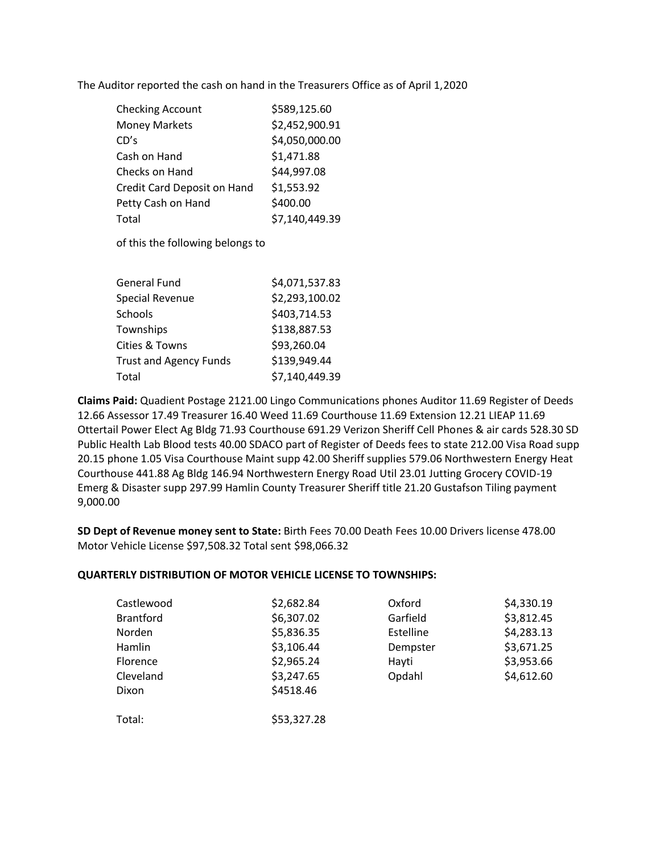The Auditor reported the cash on hand in the Treasurers Office as of April 1,2020

| <b>Checking Account</b>     | \$589,125.60   |
|-----------------------------|----------------|
| <b>Money Markets</b>        | \$2,452,900.91 |
| CD's                        | \$4,050,000.00 |
| Cash on Hand                | \$1,471.88     |
| Checks on Hand              | \$44,997.08    |
| Credit Card Deposit on Hand | \$1,553.92     |
| Petty Cash on Hand          | \$400.00       |
| Total                       | \$7,140,449.39 |

of this the following belongs to

| <b>General Fund</b>           | \$4,071,537.83 |
|-------------------------------|----------------|
| <b>Special Revenue</b>        | \$2,293,100.02 |
| Schools                       | \$403,714.53   |
| Townships                     | \$138,887.53   |
| Cities & Towns                | \$93,260.04    |
| <b>Trust and Agency Funds</b> | \$139,949.44   |
| Total                         | \$7,140,449.39 |

**Claims Paid:** Quadient Postage 2121.00 Lingo Communications phones Auditor 11.69 Register of Deeds 12.66 Assessor 17.49 Treasurer 16.40 Weed 11.69 Courthouse 11.69 Extension 12.21 LIEAP 11.69 Ottertail Power Elect Ag Bldg 71.93 Courthouse 691.29 Verizon Sheriff Cell Phones & air cards 528.30 SD Public Health Lab Blood tests 40.00 SDACO part of Register of Deeds fees to state 212.00 Visa Road supp 20.15 phone 1.05 Visa Courthouse Maint supp 42.00 Sheriff supplies 579.06 Northwestern Energy Heat Courthouse 441.88 Ag Bldg 146.94 Northwestern Energy Road Util 23.01 Jutting Grocery COVID-19 Emerg & Disaster supp 297.99 Hamlin County Treasurer Sheriff title 21.20 Gustafson Tiling payment 9,000.00

**SD Dept of Revenue money sent to State:** Birth Fees 70.00 Death Fees 10.00 Drivers license 478.00 Motor Vehicle License \$97,508.32 Total sent \$98,066.32

# **QUARTERLY DISTRIBUTION OF MOTOR VEHICLE LICENSE TO TOWNSHIPS:**

| Castlewood       | \$2,682.84  | Oxford    | \$4,330.19 |
|------------------|-------------|-----------|------------|
| <b>Brantford</b> | \$6,307.02  | Garfield  | \$3,812.45 |
| Norden           | \$5,836.35  | Estelline | \$4,283.13 |
| Hamlin           | \$3,106.44  | Dempster  | \$3,671.25 |
| <b>Florence</b>  | \$2,965.24  | Hayti     | \$3,953.66 |
| Cleveland        | \$3,247.65  | Opdahl    | \$4,612.60 |
| Dixon            | \$4518.46   |           |            |
| Total:           | \$53,327.28 |           |            |